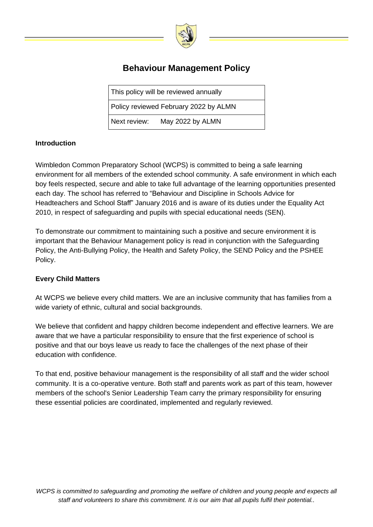

# **Behaviour Management Policy**

This policy will be reviewed annually

Policy reviewed February 2022 by ALMN

Next review: May 2022 by ALMN

## **Introduction**

Wimbledon Common Preparatory School (WCPS) is committed to being a safe learning environment for all members of the extended school community. A safe environment in which each boy feels respected, secure and able to take full advantage of the learning opportunities presented each day. The school has referred to "Behaviour and Discipline in Schools Advice for Headteachers and School Staff" January 2016 and is aware of its duties under the Equality Act 2010, in respect of safeguarding and pupils with special educational needs (SEN).

To demonstrate our commitment to maintaining such a positive and secure environment it is important that the Behaviour Management policy is read in conjunction with the Safeguarding Policy, the Anti-Bullying Policy, the Health and Safety Policy, the SEND Policy and the PSHEE Policy.

#### **Every Child Matters**

At WCPS we believe every child matters. We are an inclusive community that has families from a wide variety of ethnic, cultural and social backgrounds.

We believe that confident and happy children become independent and effective learners. We are aware that we have a particular responsibility to ensure that the first experience of school is positive and that our boys leave us ready to face the challenges of the next phase of their education with confidence.

To that end, positive behaviour management is the responsibility of all staff and the wider school community. It is a co-operative venture. Both staff and parents work as part of this team, however members of the school's Senior Leadership Team carry the primary responsibility for ensuring these essential policies are coordinated, implemented and regularly reviewed.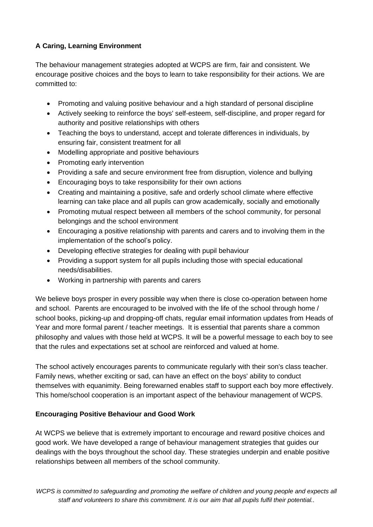# **A Caring, Learning Environment**

The behaviour management strategies adopted at WCPS are firm, fair and consistent. We encourage positive choices and the boys to learn to take responsibility for their actions. We are committed to:

- Promoting and valuing positive behaviour and a high standard of personal discipline
- Actively seeking to reinforce the boys' self-esteem, self-discipline, and proper regard for authority and positive relationships with others
- Teaching the boys to understand, accept and tolerate differences in individuals, by ensuring fair, consistent treatment for all
- Modelling appropriate and positive behaviours
- Promoting early intervention
- Providing a safe and secure environment free from disruption, violence and bullying
- Encouraging boys to take responsibility for their own actions
- Creating and maintaining a positive, safe and orderly school climate where effective learning can take place and all pupils can grow academically, socially and emotionally
- Promoting mutual respect between all members of the school community, for personal belongings and the school environment
- Encouraging a positive relationship with parents and carers and to involving them in the implementation of the school's policy.
- Developing effective strategies for dealing with pupil behaviour
- Providing a support system for all pupils including those with special educational needs/disabilities.
- Working in partnership with parents and carers

We believe boys prosper in every possible way when there is close co-operation between home and school. Parents are encouraged to be involved with the life of the school through home / school books, picking-up and dropping-off chats, regular email information updates from Heads of Year and more formal parent / teacher meetings. It is essential that parents share a common philosophy and values with those held at WCPS. It will be a powerful message to each boy to see that the rules and expectations set at school are reinforced and valued at home.

The school actively encourages parents to communicate regularly with their son's class teacher. Family news, whether exciting or sad, can have an effect on the boys' ability to conduct themselves with equanimity. Being forewarned enables staff to support each boy more effectively. This home/school cooperation is an important aspect of the behaviour management of WCPS.

# **Encouraging Positive Behaviour and Good Work**

At WCPS we believe that is extremely important to encourage and reward positive choices and good work. We have developed a range of behaviour management strategies that guides our dealings with the boys throughout the school day. These strategies underpin and enable positive relationships between all members of the school community.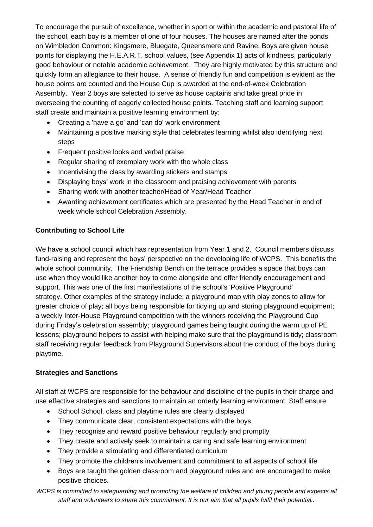To encourage the pursuit of excellence, whether in sport or within the academic and pastoral life of the school, each boy is a member of one of four houses. The houses are named after the ponds on Wimbledon Common: Kingsmere, Bluegate, Queensmere and Ravine. Boys are given house points for displaying the H.E.A.R.T. school values, (see Appendix 1) acts of kindness, particularly good behaviour or notable academic achievement. They are highly motivated by this structure and quickly form an allegiance to their house. A sense of friendly fun and competition is evident as the house points are counted and the House Cup is awarded at the end-of-week Celebration Assembly. Year 2 boys are selected to serve as house captains and take great pride in overseeing the counting of eagerly collected house points. Teaching staff and learning support staff create and maintain a positive learning environment by:

- Creating a 'have a go' and 'can do' work environment
- Maintaining a positive marking style that celebrates learning whilst also identifying next steps
- Frequent positive looks and verbal praise
- Regular sharing of exemplary work with the whole class
- Incentivising the class by awarding stickers and stamps
- Displaying boys' work in the classroom and praising achievement with parents
- Sharing work with another teacher/Head of Year/Head Teacher
- Awarding achievement certificates which are presented by the Head Teacher in end of week whole school Celebration Assembly.

#### **Contributing to School Life**

We have a school council which has representation from Year 1 and 2. Council members discuss fund-raising and represent the boys' perspective on the developing life of WCPS. This benefits the whole school community. The Friendship Bench on the terrace provides a space that boys can use when they would like another boy to come alongside and offer friendly encouragement and support. This was one of the first manifestations of the school's 'Positive Playground' strategy. Other examples of the strategy include: a playground map with play zones to allow for greater choice of play; all boys being responsible for tidying up and storing playground equipment; a weekly Inter-House Playground competition with the winners receiving the Playground Cup during Friday's celebration assembly; playground games being taught during the warm up of PE lessons; playground helpers to assist with helping make sure that the playground is tidy; classroom staff receiving regular feedback from Playground Supervisors about the conduct of the boys during playtime.

#### **Strategies and Sanctions**

All staff at WCPS are responsible for the behaviour and discipline of the pupils in their charge and use effective strategies and sanctions to maintain an orderly learning environment. Staff ensure:

- School School, class and playtime rules are clearly displayed
- They communicate clear, consistent expectations with the boys
- They recognise and reward positive behaviour regularly and promptly
- They create and actively seek to maintain a caring and safe learning environment
- They provide a stimulating and differentiated curriculum
- They promote the children's involvement and commitment to all aspects of school life
- Boys are taught the golden classroom and playground rules and are encouraged to make positive choices.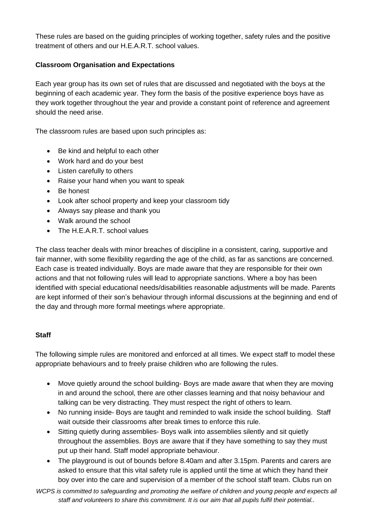These rules are based on the guiding principles of working together, safety rules and the positive treatment of others and our H.E.A.R.T. school values.

#### **Classroom Organisation and Expectations**

Each year group has its own set of rules that are discussed and negotiated with the boys at the beginning of each academic year. They form the basis of the positive experience boys have as they work together throughout the year and provide a constant point of reference and agreement should the need arise.

The classroom rules are based upon such principles as:

- Be kind and helpful to each other
- Work hard and do your best
- Listen carefully to others
- Raise your hand when you want to speak
- Be honest
- Look after school property and keep your classroom tidy
- Always say please and thank you
- Walk around the school
- The H.E.A.R.T. school values

The class teacher deals with minor breaches of discipline in a consistent, caring, supportive and fair manner, with some flexibility regarding the age of the child, as far as sanctions are concerned. Each case is treated individually. Boys are made aware that they are responsible for their own actions and that not following rules will lead to appropriate sanctions. Where a boy has been identified with special educational needs/disabilities reasonable adjustments will be made. Parents are kept informed of their son's behaviour through informal discussions at the beginning and end of the day and through more formal meetings where appropriate.

#### **Staff**

The following simple rules are monitored and enforced at all times. We expect staff to model these appropriate behaviours and to freely praise children who are following the rules.

- Move quietly around the school building- Boys are made aware that when they are moving in and around the school, there are other classes learning and that noisy behaviour and talking can be very distracting. They must respect the right of others to learn.
- No running inside- Boys are taught and reminded to walk inside the school building. Staff wait outside their classrooms after break times to enforce this rule.
- Sitting quietly during assemblies- Boys walk into assemblies silently and sit quietly throughout the assemblies. Boys are aware that if they have something to say they must put up their hand. Staff model appropriate behaviour.
- The playground is out of bounds before 8.40am and after 3.15pm. Parents and carers are asked to ensure that this vital safety rule is applied until the time at which they hand their boy over into the care and supervision of a member of the school staff team. Clubs run on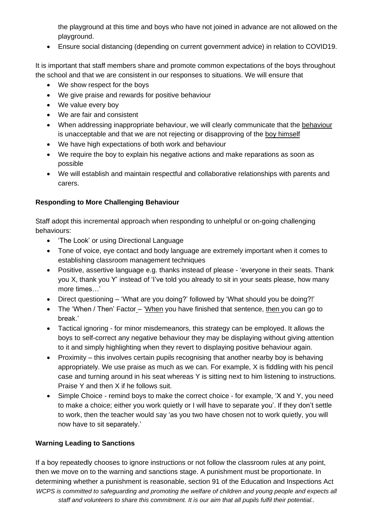the playground at this time and boys who have not joined in advance are not allowed on the playground.

• Ensure social distancing (depending on current government advice) in relation to COVID19.

It is important that staff members share and promote common expectations of the boys throughout the school and that we are consistent in our responses to situations. We will ensure that

- We show respect for the boys
- We give praise and rewards for positive behaviour
- We value every boy
- We are fair and consistent
- When addressing inappropriate behaviour, we will clearly communicate that the behaviour is unacceptable and that we are not rejecting or disapproving of the boy himself
- We have high expectations of both work and behaviour
- We require the boy to explain his negative actions and make reparations as soon as possible
- We will establish and maintain respectful and collaborative relationships with parents and carers.

# **Responding to More Challenging Behaviour**

Staff adopt this incremental approach when responding to unhelpful or on-going challenging behaviours:

- 'The Look' or using Directional Language
- Tone of voice, eye contact and body language are extremely important when it comes to establishing classroom management techniques
- Positive, assertive language e.g. thanks instead of please 'everyone in their seats. Thank you X, thank you Y' instead of 'I've told you already to sit in your seats please, how many more times…'
- Direct questioning 'What are you doing?' followed by 'What should you be doing?!'
- The 'When / Then' Factor 'When you have finished that sentence, then you can go to break.'
- Tactical ignoring for minor misdemeanors, this strategy can be employed. It allows the boys to self-correct any negative behaviour they may be displaying without giving attention to it and simply highlighting when they revert to displaying positive behaviour again.
- Proximity this involves certain pupils recognising that another nearby boy is behaving appropriately. We use praise as much as we can. For example, X is fiddling with his pencil case and turning around in his seat whereas Y is sitting next to him listening to instructions. Praise Y and then X if he follows suit.
- Simple Choice remind boys to make the correct choice for example, 'X and Y, you need to make a choice; either you work quietly or I will have to separate you'. If they don't settle to work, then the teacher would say 'as you two have chosen not to work quietly, you will now have to sit separately.'

# **Warning Leading to Sanctions**

*WCPS is committed to safeguarding and promoting the welfare of children and young people and expects all* staff and volunteers to share this commitment. It is our aim that all pupils fulfil their potential.. If a boy repeatedly chooses to ignore instructions or not follow the classroom rules at any point, then we move on to the warning and sanctions stage. A punishment must be proportionate. In determining whether a punishment is reasonable, section 91 of the Education and Inspections Act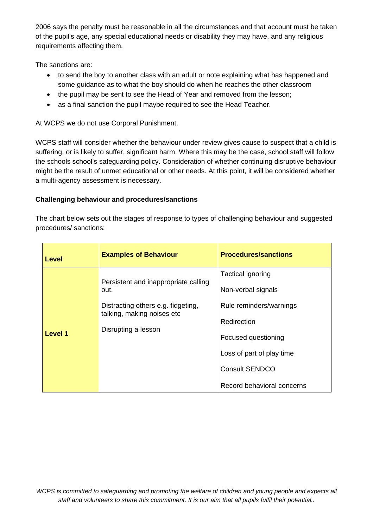2006 says the penalty must be reasonable in all the circumstances and that account must be taken of the pupil's age, any special educational needs or disability they may have, and any religious requirements affecting them.

The sanctions are:

- to send the boy to another class with an adult or note explaining what has happened and some guidance as to what the boy should do when he reaches the other classroom
- the pupil may be sent to see the Head of Year and removed from the lesson;
- as a final sanction the pupil maybe required to see the Head Teacher.

At WCPS we do not use Corporal Punishment.

WCPS staff will consider whether the behaviour under review gives cause to suspect that a child is suffering, or is likely to suffer, significant harm. Where this may be the case, school staff will follow the schools school's safeguarding policy. Consideration of whether continuing disruptive behaviour might be the result of unmet educational or other needs. At this point, it will be considered whether a multi-agency assessment is necessary.

## **Challenging behaviour and procedures/sanctions**

The chart below sets out the stages of response to types of challenging behaviour and suggested procedures/ sanctions:

| <b>Level</b> | <b>Examples of Behaviour</b>                                                                                                            | <b>Procedures/sanctions</b>                                                                                                                                                                  |
|--------------|-----------------------------------------------------------------------------------------------------------------------------------------|----------------------------------------------------------------------------------------------------------------------------------------------------------------------------------------------|
| Level 1      | Persistent and inappropriate calling<br>out.<br>Distracting others e.g. fidgeting,<br>talking, making noises etc<br>Disrupting a lesson | Tactical ignoring<br>Non-verbal signals<br>Rule reminders/warnings<br>Redirection<br>Focused questioning<br>Loss of part of play time<br><b>Consult SENDCO</b><br>Record behavioral concerns |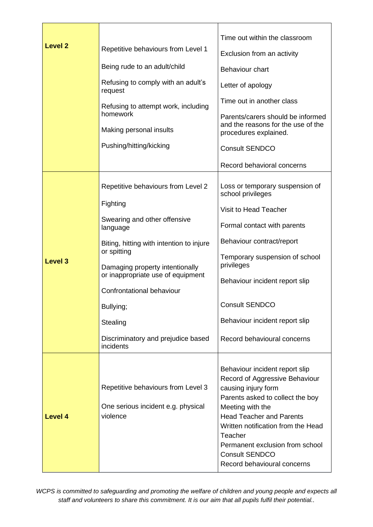| <b>Level 2</b> | Repetitive behaviours from Level 1<br>Being rude to an adult/child<br>Refusing to comply with an adult's<br>request<br>Refusing to attempt work, including<br>homework<br>Making personal insults<br>Pushing/hitting/kicking                                                                                                           | Time out within the classroom<br>Exclusion from an activity<br>Behaviour chart<br>Letter of apology<br>Time out in another class<br>Parents/carers should be informed<br>and the reasons for the use of the<br>procedures explained.<br><b>Consult SENDCO</b><br>Record behavioral concerns                                    |
|----------------|----------------------------------------------------------------------------------------------------------------------------------------------------------------------------------------------------------------------------------------------------------------------------------------------------------------------------------------|--------------------------------------------------------------------------------------------------------------------------------------------------------------------------------------------------------------------------------------------------------------------------------------------------------------------------------|
| <b>Level 3</b> | Repetitive behaviours from Level 2<br>Fighting<br>Swearing and other offensive<br>language<br>Biting, hitting with intention to injure<br>or spitting<br>Damaging property intentionally<br>or inappropriate use of equipment<br>Confrontational behaviour<br>Bullying;<br>Stealing<br>Discriminatory and prejudice based<br>incidents | Loss or temporary suspension of<br>school privileges<br>Visit to Head Teacher<br>Formal contact with parents<br>Behaviour contract/report<br>Temporary suspension of school<br>privileges<br>Behaviour incident report slip<br><b>Consult SENDCO</b><br>Behaviour incident report slip<br>Record behavioural concerns          |
| <b>Level 4</b> | Repetitive behaviours from Level 3<br>One serious incident e.g. physical<br>violence                                                                                                                                                                                                                                                   | Behaviour incident report slip<br>Record of Aggressive Behaviour<br>causing injury form<br>Parents asked to collect the boy<br>Meeting with the<br><b>Head Teacher and Parents</b><br>Written notification from the Head<br>Teacher<br>Permanent exclusion from school<br><b>Consult SENDCO</b><br>Record behavioural concerns |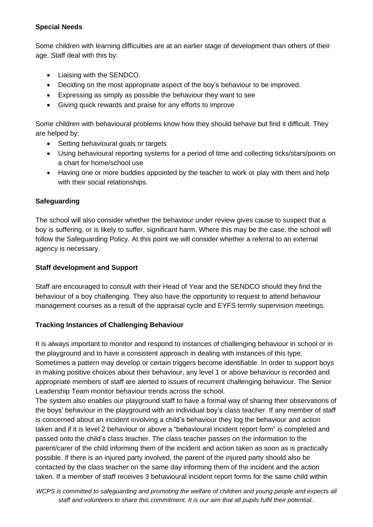#### **Special Needs**

Some children with learning difficulties are at an earlier stage of development than others of their age. Staff deal with this by:

- Liaising with the SENDCO.
- Deciding on the most appropriate aspect of the boy's behaviour to be improved.
- Expressing as simply as possible the behaviour they want to see
- Giving quick rewards and praise for any efforts to improve

Some children with behavioural problems know how they should behave but find it difficult. They are helped by:

- Setting behavioural goals or targets
- Using behavioural reporting systems for a period of time and collecting ticks/stars/points on a chart for home/school use
- Having one or more buddies appointed by the teacher to work or play with them and help with their social relationships.

# **Safeguarding**

The school will also consider whether the behaviour under review gives cause to suspect that a boy is suffering, or is likely to suffer, significant harm. Where this may be the case, the school will follow the Safeguarding Policy. At this point we will consider whether a referral to an external agency is necessary.

# **Staff development and Support**

Staff are encouraged to consult with their Head of Year and the SENDCO should they find the behaviour of a boy challenging. They also have the opportunity to request to attend behaviour management courses as a result of the appraisal cycle and EYFS termly supervision meetings.

# **Tracking Instances of Challenging Behaviour**

It is always important to monitor and respond to instances of challenging behaviour in school or in the playground and to have a consistent approach in dealing with instances of this type. Sometimes a pattern may develop or certain triggers become identifiable. In order to support boys in making positive choices about their behaviour, any level 1 or above behaviour is recorded and appropriate members of staff are alerted to issues of recurrent challenging behaviour. The Senior Leadership Team monitor behaviour trends across the school.

The system also enables our playground staff to have a formal way of sharing their observations of the boys' behaviour in the playground with an individual boy's class teacher. If any member of staff is concerned about an incident involving a child's behaviour they log the behaviour and action taken and if it is level 2 behaviour or above a "behavioural incident report form" is completed and passed onto the child's class teacher. The class teacher passes on the information to the parent/carer of the child informing them of the incident and action taken as soon as is practically possible. If there is an injured party involved, the parent of the injured party should also be contacted by the class teacher on the same day informing them of the incident and the action taken. If a member of staff receives 3 behavioural incident report forms for the same child within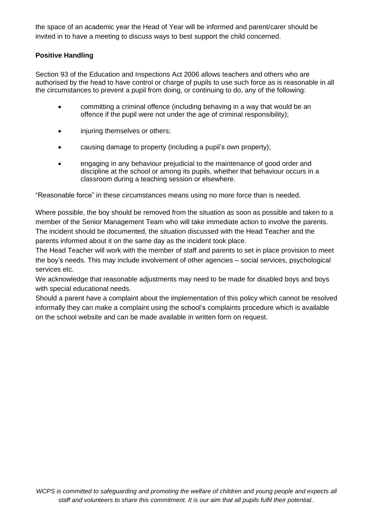the space of an academic year the Head of Year will be informed and parent/carer should be invited in to have a meeting to discuss ways to best support the child concerned.

## **Positive Handling**

Section 93 of the Education and Inspections Act 2006 allows teachers and others who are authorised by the head to have control or charge of pupils to use such force as is reasonable in all the circumstances to prevent a pupil from doing, or continuing to do, any of the following:

- committing a criminal offence (including behaving in a way that would be an offence if the pupil were not under the age of criminal responsibility);
- injuring themselves or others;
- causing damage to property (including a pupil's own property);
- engaging in any behaviour prejudicial to the maintenance of good order and discipline at the school or among its pupils, whether that behaviour occurs in a classroom during a teaching session or elsewhere.

"Reasonable force" in these circumstances means using no more force than is needed.

Where possible, the boy should be removed from the situation as soon as possible and taken to a member of the Senior Management Team who will take immediate action to involve the parents. The incident should be documented, the situation discussed with the Head Teacher and the parents informed about it on the same day as the incident took place.

The Head Teacher will work with the member of staff and parents to set in place provision to meet the boy's needs. This may include involvement of other agencies – social services, psychological services etc.

We acknowledge that reasonable adjustments may need to be made for disabled boys and boys with special educational needs.

Should a parent have a complaint about the implementation of this policy which cannot be resolved informally they can make a complaint using the school's complaints procedure which is available on the school website and can be made available in written form on request.